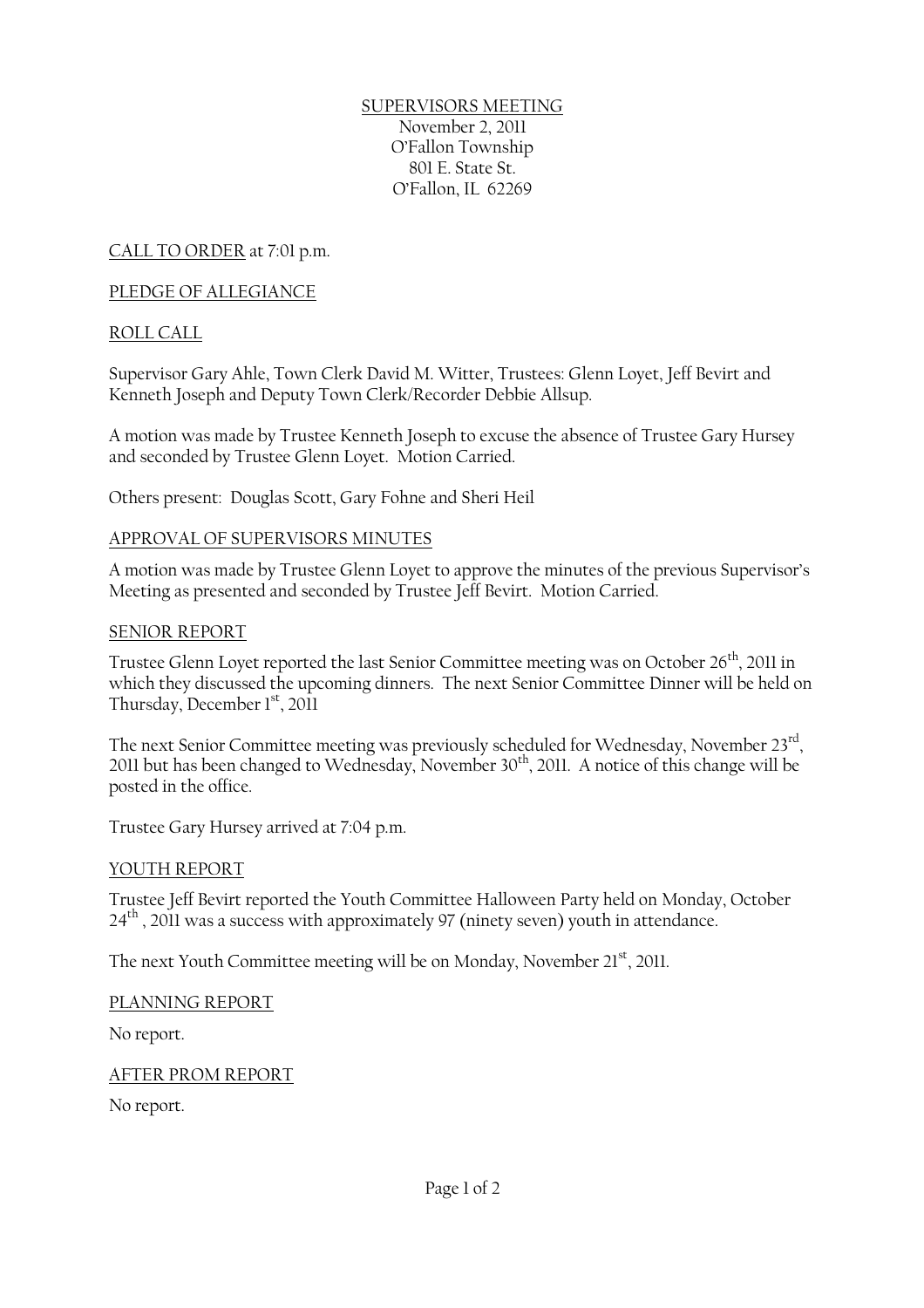SUPERVISORS MEETING November 2, 2011 O'Fallon Township 801 E. State St. O'Fallon, IL 62269

CALL TO ORDER at 7:01 p.m.

### PLEDGE OF ALLEGIANCE

# ROLL CALL

Supervisor Gary Ahle, Town Clerk David M. Witter, Trustees: Glenn Loyet, Jeff Bevirt and Kenneth Joseph and Deputy Town Clerk/Recorder Debbie Allsup.

A motion was made by Trustee Kenneth Joseph to excuse the absence of Trustee Gary Hursey and seconded by Trustee Glenn Loyet. Motion Carried.

Others present: Douglas Scott, Gary Fohne and Sheri Heil

### APPROVAL OF SUPERVISORS MINUTES

A motion was made by Trustee Glenn Loyet to approve the minutes of the previous Supervisor's Meeting as presented and seconded by Trustee Jeff Bevirt. Motion Carried.

### SENIOR REPORT

Trustee Glenn Loyet reported the last Senior Committee meeting was on October 26<sup>th</sup>, 2011 in which they discussed the upcoming dinners. The next Senior Committee Dinner will be held on Thursday, December 1<sup>st</sup>, 2011

The next Senior Committee meeting was previously scheduled for Wednesday, November 23 $^{\rm rd}$ , 2011 but has been changed to Wednesday, November  $30<sup>th</sup>$ , 2011. A notice of this change will be posted in the office.

Trustee Gary Hursey arrived at 7:04 p.m.

### YOUTH REPORT

Trustee Jeff Bevirt reported the Youth Committee Halloween Party held on Monday, October 24<sup>th</sup>, 2011 was a success with approximately 97 (ninety seven) youth in attendance.

The next Youth Committee meeting will be on Monday, November 21<sup>st</sup>, 2011.

#### PLANNING REPORT

No report.

AFTER PROM REPORT

No report.